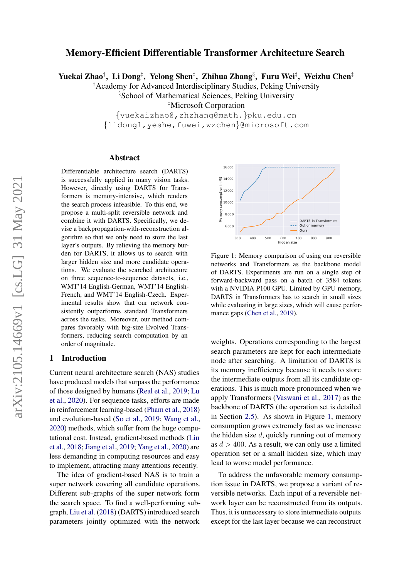# Memory-Efficient Differentiable Transformer Architecture Search

Yuekai Zhao†, Li Dong‡, Yelong Shen‡, Zhihua Zhang§, Furu Wei‡, Weizhu Chen‡

†Academy for Advanced Interdisciplinary Studies, Peking University

§School of Mathematical Sciences, Peking University

‡Microsoft Corporation

{yuekaizhao@,zhzhang@math.}pku.edu.cn {lidong1,yeshe,fuwei,wzchen}@microsoft.com

#### Abstract

Differentiable architecture search (DARTS) is successfully applied in many vision tasks. However, directly using DARTS for Transformers is memory-intensive, which renders the search process infeasible. To this end, we propose a multi-split reversible network and combine it with DARTS. Specifically, we devise a backpropagation-with-reconstruction algorithm so that we only need to store the last layer's outputs. By relieving the memory burden for DARTS, it allows us to search with larger hidden size and more candidate operations. We evaluate the searched architecture on three sequence-to-sequence datasets, i.e., WMT'14 English-German, WMT'14 English-French, and WMT'14 English-Czech. Experimental results show that our network consistently outperforms standard Transformers across the tasks. Moreover, our method compares favorably with big-size Evolved Transformers, reducing search computation by an order of magnitude.

### 1 Introduction

Current neural architecture search (NAS) studies have produced models that surpass the performance of those designed by humans [\(Real et al.,](#page-10-0) [2019;](#page-10-0) [Lu](#page-9-0) [et al.,](#page-9-0) [2020\)](#page-9-0). For sequence tasks, efforts are made in reinforcement learning-based [\(Pham et al.,](#page-9-1) [2018\)](#page-9-1) and evolution-based [\(So et al.,](#page-10-1) [2019;](#page-10-1) [Wang et al.,](#page-10-2) [2020\)](#page-10-2) methods, which suffer from the huge computational cost. Instead, gradient-based methods [\(Liu](#page-9-2) [et al.,](#page-9-2) [2018;](#page-9-2) [Jiang et al.,](#page-9-3) [2019;](#page-9-3) [Yang et al.,](#page-10-3) [2020\)](#page-10-3) are less demanding in computing resources and easy to implement, attracting many attentions recently.

The idea of gradient-based NAS is to train a super network covering all candidate operations. Different sub-graphs of the super network form the search space. To find a well-performing subgraph, [Liu et al.](#page-9-2) [\(2018\)](#page-9-2) (DARTS) introduced search parameters jointly optimized with the network

<span id="page-0-0"></span>

Figure 1: Memory comparison of using our reversible networks and Transformers as the backbone model of DARTS. Experiments are run on a single step of forward-backward pass on a batch of 3584 tokens with a NVIDIA P100 GPU. Limited by GPU memory, DARTS in Transformers has to search in small sizes while evaluating in large sizes, which will cause perfor-mance gaps [\(Chen et al.,](#page-8-0) [2019\)](#page-8-0).

weights. Operations corresponding to the largest search parameters are kept for each intermediate node after searching. A limitation of DARTS is its memory inefficiency because it needs to store the intermediate outputs from all its candidate operations. This is much more pronounced when we apply Transformers [\(Vaswani et al.,](#page-10-4) [2017\)](#page-10-4) as the backbone of DARTS (the operation set is detailed in Section [2.5\)](#page-3-0). As shown in Figure [1,](#page-0-0) memory consumption grows extremely fast as we increase the hidden size  $d$ , quickly running out of memory as  $d > 400$ . As a result, we can only use a limited operation set or a small hidden size, which may lead to worse model performance.

To address the unfavorable memory consumption issue in DARTS, we propose a variant of reversible networks. Each input of a reversible network layer can be reconstructed from its outputs. Thus, it is unnecessary to store intermediate outputs except for the last layer because we can reconstruct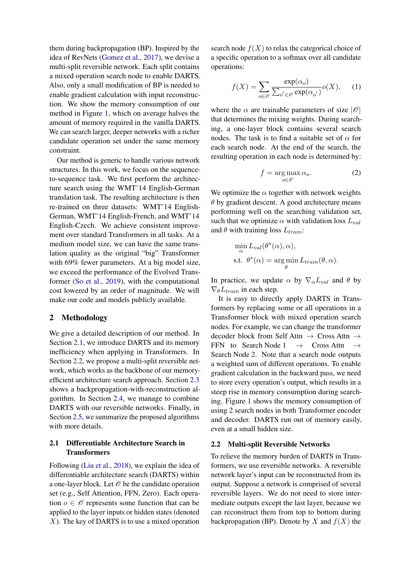them during backpropagation (BP). Inspired by the idea of RevNets [\(Gomez et al.,](#page-9-4) [2017\)](#page-9-4), we devise a multi-split reversible network. Each split contains a mixed operation search node to enable DARTS. Also, only a small modification of BP is needed to enable gradient calculation with input reconstruction. We show the memory consumption of our method in Figure [1,](#page-0-0) which on average halves the amount of memory required in the vanilla DARTS. We can search larger, deeper networks with a richer candidate operation set under the same memory constraint.

Our method is generic to handle various network structures. In this work, we focus on the sequenceto-sequence task. We first perform the architecture search using the WMT'14 English-German translation task. The resulting architecture is then re-trained on three datasets: WMT'14 English-German, WMT'14 English-French, and WMT'14 English-Czech. We achieve consistent improvement over standard Transformers in all tasks. At a medium model size, we can have the same translation quality as the original "big" Transformer with 69% fewer parameters. At a big model size, we exceed the performance of the Evolved Transformer [\(So et al.,](#page-10-1) [2019\)](#page-10-1), with the computational cost lowered by an order of magnitude. We will make our code and models publicly available.

### 2 Methodology

We give a detailed description of our method. In Section [2.1,](#page-1-0) we introduce DARTS and its memory inefficiency when applying in Transformers. In Section [2.2,](#page-1-1) we propose a multi-split reversible network, which works as the backbone of our memoryefficient architecture search approach. Section [2.3](#page-2-0) shows a backpropagation-with-reconstruction algorithm. In Section [2.4,](#page-3-1) we manage to combine DARTS with our reversible networks. Finally, in Section [2.5,](#page-3-0) we summarize the proposed algorithms with more details.

# <span id="page-1-0"></span>2.1 Differentiable Architecture Search in **Transformers**

Following [\(Liu et al.,](#page-9-2) [2018\)](#page-9-2), we explain the idea of differentiable architecture search (DARTS) within a one-layer block. Let  $\mathcal O$  be the candidate operation set (e.g., Self Attention, FFN, Zero). Each operation  $o \in \mathcal{O}$  represents some function that can be applied to the layer inputs or hidden states (denoted  $X$ ). The key of DARTS is to use a mixed operation search node  $f(X)$  to relax the categorical choice of a specific operation to a softmax over all candidate operations:

$$
f(X) = \sum_{o \in \mathcal{O}} \frac{\exp(\alpha_o)}{\sum_{o' \in \mathcal{O}} \exp(\alpha_{o'})} o(X), \quad (1)
$$

where the  $\alpha$  are trainable parameters of size  $|\mathcal{O}|$ that determines the mixing weights. During searching, a one-layer block contains several search nodes. The task is to find a suitable set of  $\alpha$  for each search node. At the end of the search, the resulting operation in each node is determined by:

<span id="page-1-2"></span>
$$
f = \underset{o \in \mathscr{O}}{\arg \max} \, \alpha_o. \tag{2}
$$

We optimize the  $\alpha$  together with network weights  $\theta$  by gradient descent. A good architecture means performing well on the searching validation set, such that we optimize  $\alpha$  with validation loss  $L_{val}$ and  $\theta$  with training loss  $L_{train}$ :

$$
\min_{\alpha} L_{val}(\theta^*(\alpha), \alpha),
$$
  
s.t.  $\theta^*(\alpha) = \argmin_{\theta} L_{train}(\theta, \alpha).$ 

In practice, we update  $\alpha$  by  $\nabla_{\alpha}L_{val}$  and  $\theta$  by  $\nabla_{\theta} L_{train}$  in each step.

It is easy to directly apply DARTS in Transformers by replacing some or all operations in a Transformer block with mixed operation search nodes. For example, we can change the transformer decoder block from Self Attn → Cross Attn → FFN to Search Node 1  $\rightarrow$  Cross Attn  $\rightarrow$ Search Node 2. Note that a search node outputs a weighted sum of different operations. To enable gradient calculation in the backward pass, we need to store every operation's output, which results in a steep rise in memory consumption during searching. Figure [1](#page-0-0) shows the memory consumption of using 2 search nodes in both Transformer encoder and decoder. DARTS run out of memory easily, even at a small hidden size.

#### <span id="page-1-1"></span>2.2 Multi-split Reversible Networks

To relieve the memory burden of DARTS in Transformers, we use reversible networks. A reversible network layer's input can be reconstructed from its output. Suppose a network is comprised of several reversible layers. We do not need to store intermediate outputs except the last layer, because we can reconstruct them from top to bottom during backpropagation (BP). Denote by X and  $f(X)$  the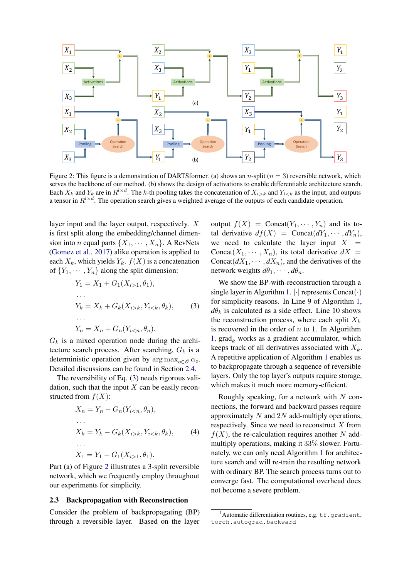<span id="page-2-2"></span>

Figure 2: This figure is a demonstration of DARTSformer. (a) shows an n-split ( $n = 3$ ) reversible network, which serves the backbone of our method. (b) shows the design of activations to enable differentiable architecture search. Each  $X_k$  and  $Y_k$  are in  $R^{l \times d}$ . The k-th pooling takes the concatenation of  $X_{i>k}$  and  $Y_{i as the input, and outputs$ a tensor in  $R^{l \times d}$ . The operation search gives a weighted average of the outputs of each candidate operation.

layer input and the layer output, respectively. X is first split along the embedding/channel dimension into *n* equal parts  $\{X_1, \cdots, X_n\}$ . A RevNets [\(Gomez et al.,](#page-9-4) [2017\)](#page-9-4) alike operation is applied to each  $X_k$ , which yields  $Y_k$ .  $f(X)$  is a concatenation of  ${Y_1, \dots, Y_n}$  along the split dimension:

$$
Y_1 = X_1 + G_1(X_{i>1}, \theta_1),
$$
  
\n...  
\n
$$
Y_k = X_k + G_k(X_{i>k}, Y_{i  
\n...  
\n
$$
Y_n = X_n + G_n(Y_{i  
\n(3)
$$
$$

 $G_k$  is a mixed operation node during the architecture search process. After searching,  $G_k$  is a deterministic operation given by  $\arg \max_{\alpha \in \mathcal{O}} \alpha_o$ . Detailed discussions can be found in Section [2.4.](#page-3-1)

The reversibility of Eq. [\(3\)](#page-2-1) needs rigorous validation, such that the input  $X$  can be easily reconstructed from  $f(X)$ :

$$
X_n = Y_n - G_n(Y_{i < n}, \theta_n),
$$
\n...\n
$$
X_k = Y_k - G_k(X_{i > k}, Y_{i < k}, \theta_k),
$$
\n...\n
$$
X_1 = Y_1 - G_1(X_{i > 1}, \theta_1).
$$
\n(4)

Part (a) of Figure [2](#page-2-2) illustrates a 3-split reversible network, which we frequently employ throughout our experiments for simplicity.

#### <span id="page-2-0"></span>2.3 Backpropagation with Reconstruction

Consider the problem of backpropagating (BP) through a reversible layer. Based on the layer

output  $f(X)$  = Concat $(Y_1, \dots, Y_n)$  and its total derivative  $df(X) = \text{Concat}(dY_1, \dots, dY_n),$ we need to calculate the layer input  $X =$ Concat $(X_1, \dots, X_n)$ , its total derivative  $dX =$ Concat $(dX_1, \dots, dX_n)$ , and the derivatives of the network weights  $d\theta_1, \cdots, d\theta_n$ .

<span id="page-2-1"></span>We show the BP-with-reconstruction through a single layer in Algorithm [1.](#page-3-2)  $[\cdot]$  represents Concat $(\cdot)$ for simplicity reasons. In Line 9 of Algorithm [1,](#page-3-2)  $d\theta_k$  is calculated as a side effect. Line 10 shows the reconstruction process, where each split  $X_k$ is recovered in the order of  $n$  to 1. In Algorithm [1,](#page-3-2)  $\text{grad}_k$  works as a gradient accumulator, which keeps track of all derivatives associated with  $X_k$ . A repetitive application of Algorithm [1](#page-3-2) enables us to backpropagate through a sequence of reversible layers. Only the top layer's outputs require storage, which makes it much more memory-efficient.

Roughly speaking, for a network with  $N$  connections, the forward and backward passes require approximately  $N$  and  $2N$  add-multiply operations, respectively. Since we need to reconstruct  $X$  from  $f(X)$ , the re-calculation requires another N addmultiply operations, making it 33% slower. Fortunately, we can only need Algorithm [1](#page-3-2) for architecture search and will re-train the resulting network with ordinary BP. The search process turns out to converge fast. The computational overhead does not become a severe problem.

<span id="page-2-3"></span><sup>&</sup>lt;sup>1</sup>Automatic differentiation routines, e.g.  $tf$ , gradient, torch.autograd.backward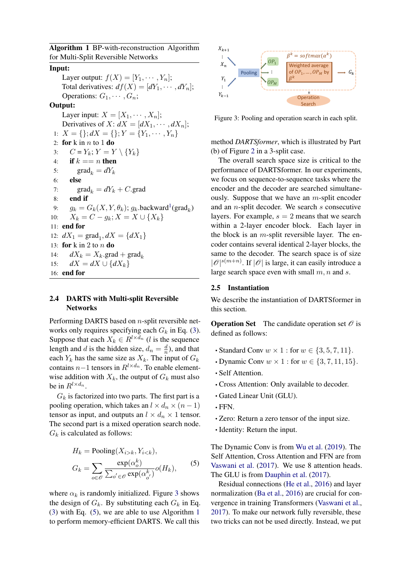<span id="page-3-2"></span>Algorithm 1 BP-with-reconstruction Algorithm for Multi-Split Reversible Networks

## Input:

Layer output:  $f(X) = [Y_1, \cdots, Y_n];$ Total derivatives:  $df(X) = [dY_1, \cdots, dY_n];$ Operations:  $G_1, \cdots, G_n$ ;

### Output:

Layer input:  $X = [X_1, \cdots, X_n];$ Derivatives of  $X: dX = [dX_1, \cdots, dX_n];$ 1:  $X = \{\}; dX = \{\}; Y = \{Y_1, \cdots, Y_n\}$ 2: for  $k$  in  $n$  to  $1$  do 3:  $C = Y_k; Y = Y \setminus \{Y_k\}$ 4: if  $k == n$  then 5: grad<sub>k</sub> =  $dY_k$ 6: else 7:  $\text{grad}_k = dY_k + C.\text{grad}$ 8: end if 9:  $g_k = G_k(X, Y, \theta_k)$ ;  $g_k$ .backward<sup>[1](#page-2-3)</sup>(grad<sub>k</sub>) 10:  $X_k = C - g_k; X = X \cup \{X_k\}$ 11: end for 12:  $dX_1 = \text{grad}_1, dX = \{dX_1\}$ 13: for k in 2 to  $n$  do 14:  $dX_k = X_k$ .grad + grad<sub>k</sub> 15:  $dX = dX \cup \{dX_k\}$ 16: end for

## <span id="page-3-1"></span>2.4 DARTS with Multi-split Reversible **Networks**

Performing DARTS based on n-split reversible networks only requires specifying each  $G_k$  in Eq. [\(3\)](#page-2-1). Suppose that each  $X_k \in R^{l \times d_n}$  (*l* is the sequence length and d is the hidden size,  $d_n = \frac{d}{n}$  $\frac{d}{n}$ ), and that each  $Y_k$  has the same size as  $X_k$ . The input of  $G_k$ contains  $n-1$  tensors in  $R^{l \times d_n}$ . To enable elementwise addition with  $X_k$ , the output of  $G_k$  must also be in  $R^{l \times d_n}$ .

 $G_k$  is factorized into two parts. The first part is a pooling operation, which takes an  $l \times d_n \times (n-1)$ tensor as input, and outputs an  $l \times d_n \times 1$  tensor. The second part is a mixed operation search node.  $G_k$  is calculated as follows:

$$
H_k = \text{Pooling}(X_{i>k}, Y_{i  
\n
$$
G_k = \sum_{o \in \mathcal{O}} \frac{\exp(\alpha_o^k)}{\sum_{o' \in \mathcal{O}} \exp(\alpha_{o'}^k)} o(H_k),
$$
\n(5)
$$

where  $\alpha_k$  is randomly initialized. Figure [3](#page-3-3) shows the design of  $G_k$ . By substituting each  $G_k$  in Eq. [\(3\)](#page-2-1) with Eq. [\(5\)](#page-3-4), we are able to use Algorithm [1](#page-3-2) to perform memory-efficient DARTS. We call this

<span id="page-3-3"></span>

Figure 3: Pooling and operation search in each split.

method *DARTSformer*, which is illustrated by Part (b) of Figure [2](#page-2-2) in a 3-split case.

The overall search space size is critical to the performance of DARTSformer. In our experiments, we focus on sequence-to-sequence tasks where the encoder and the decoder are searched simultaneously. Suppose that we have an  $m$ -split encoder and an  $n$ -split decoder. We search  $s$  consecutive layers. For example,  $s = 2$  means that we search within a 2-layer encoder block. Each layer in the block is an  $m$ -split reversible layer. The encoder contains several identical 2-layer blocks, the same to the decoder. The search space is of size  $|\mathcal{O}|^{s(m+n)}$ . If  $|\mathcal{O}|$  is large, it can easily introduce a large search space even with small  $m, n$  and  $s$ .

#### <span id="page-3-0"></span>2.5 Instantiation

We describe the instantiation of DARTSformer in this section.

**Operation Set** The candidate operation set  $\mathcal{O}$  is defined as follows:

- Standard Conv  $w \times 1$  : for  $w \in \{3, 5, 7, 11\}$ .
- Dynamic Conv  $w \times 1$  : for  $w \in \{3, 7, 11, 15\}$ .
- Self Attention.
- Cross Attention: Only available to decoder.
- Gated Linear Unit (GLU).
- FFN.
- Zero: Return a zero tensor of the input size.
- Identity: Return the input.

<span id="page-3-4"></span>The Dynamic Conv is from [Wu et al.](#page-10-5) [\(2019\)](#page-10-5). The Self Attention, Cross Attention and FFN are from [Vaswani et al.](#page-10-4) [\(2017\)](#page-10-4). We use 8 attention heads. The GLU is from [Dauphin et al.](#page-9-5) [\(2017\)](#page-9-5).

Residual connections [\(He et al.,](#page-9-6) [2016\)](#page-9-6) and layer normalization [\(Ba et al.,](#page-8-1) [2016\)](#page-8-1) are crucial for convergence in training Transformers [\(Vaswani et al.,](#page-10-4) [2017\)](#page-10-4). To make our network fully reversible, these two tricks can not be used directly. Instead, we put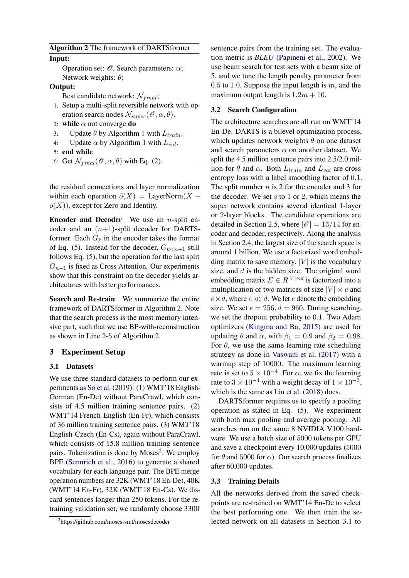<span id="page-4-0"></span>Algorithm 2 The framework of DARTSformer

### Input:

Operation set:  $\mathcal{O}$ , Search parameters:  $\alpha$ ; Network weights:  $\theta$ ;

## Output:

Best candidate network:  $\mathcal{N}_{final}$ ;

- 1: Setup a multi-split reversible network with operation search nodes  $\mathcal{N}_{super}(\mathscr{O}, \alpha, \theta)$ .
- 2: while  $\alpha$  not converge do
- 3: Update  $\theta$  by Algorithm [1](#page-3-2) with  $L_{train}$ .
- 4: Update  $\alpha$  by Algorithm [1](#page-3-2) with  $L_{val}$ .
- 5: end while
- 6: Get  $\mathcal{N}_{final}(\mathcal{O}, \alpha, \theta)$  with Eq. [\(2\)](#page-1-2).

the residual connections and layer normalization within each operation  $\tilde{o}(X) = \text{LayerNorm}(X +$  $o(X)$ , except for Zero and Identity.

**Encoder and Decoder** We use an  $n$ -split encoder and an  $(n+1)$ -split decoder for DARTSformer. Each  $G_k$  in the encoder takes the format of Eq. [\(5\)](#page-3-4). Instead for the decoder,  $G_{k\leq n+1}$  still follows Eq. [\(5\)](#page-3-4), but the operation for the last split  $G_{n+1}$  is fixed as Cross Attention. Our experiments show that this constraint on the decoder yields architectures with better performances.

Search and Re-train We summarize the entire framework of DARTSformer in Algorithm [2.](#page-4-0) Note that the search process is the most memory intensive part, such that we use BP-with-reconstruction as shown in Line 2-5 of Algorithm [2.](#page-4-0)

### 3 Experiment Setup

### <span id="page-4-2"></span>3.1 Datasets

We use three standard datasets to perform our experiments as [So et al.](#page-10-1) [\(2019\)](#page-10-1): (1) WMT'18 English-German (En-De) without ParaCrawl, which consists of 4.5 million training sentence pairs. (2) WMT'14 French-English (En-Fr), which consists of 36 million training sentence pairs. (3) WMT'18 English-Czech (En-Cs), again without ParaCrawl, which consists of 15.8 million training sentence pairs. Tokenization is done by Moses<sup>[2](#page-4-1)</sup>. We employ BPE [\(Sennrich et al.,](#page-10-6) [2016\)](#page-10-6) to generate a shared vocabulary for each language pair. The BPE merge operation numbers are 32K (WMT'18 En-De), 40K (WMT'14 En-Fr), 32K (WMT'18 En-Cs). We discard sentences longer than 250 tokens. For the retraining validation set, we randomly choose 3300

sentence pairs from the training set. The evaluation metric is *BLEU* [\(Papineni et al.,](#page-9-7) [2002\)](#page-9-7). We use beam search for test sets with a beam size of 5, and we tune the length penalty parameter from 0.5 to 1.0. Suppose the input length is  $m$ , and the maximum output length is  $1.2m + 10$ .

### <span id="page-4-3"></span>3.2 Search Configuration

The architecture searches are all run on WMT'14 En-De. DARTS is a bilevel optimization process, which updates network weights  $\theta$  on one dataset and search parameters  $\alpha$  on another dataset. We split the 4.5 million sentence pairs into 2.5/2.0 million for  $\theta$  and  $\alpha$ . Both  $L_{train}$  and  $L_{val}$  are cross entropy loss with a label smoothing factor of 0.1. The split number  $n$  is 2 for the encoder and 3 for the decoder. We set  $s$  to 1 or 2, which means the super network contains several identical 1-layer or 2-layer blocks. The candidate operations are detailed in Section [2.5,](#page-3-0) where  $|\mathcal{O}| = 13/14$  for encoder and decoder, respectively. Along the analysis in Section [2.4,](#page-3-1) the largest size of the search space is around 1 billion. We use a factorized word embedding matrix to save memory.  $|V|$  is the vocabulary size, and  $d$  is the hidden size. The original word embedding matrix  $E \in R^{|V| \times d}$  is factorized into a multiplication of two matrices of size  $|V| \times e$  and  $e \times d$ , where  $e \ll d$ . We let e denote the embedding size. We set  $e = 256$ ,  $d = 960$ . During searching, we set the dropout probability to 0.1. Two Adam optimizers [\(Kingma and Ba,](#page-9-8) [2015\)](#page-9-8) are used for updating  $\theta$  and  $\alpha$ , with  $\beta_1 = 0.9$  and  $\beta_2 = 0.98$ . For  $\theta$ , we use the same learning rate scheduling strategy as done in [Vaswani et al.](#page-10-4) [\(2017\)](#page-10-4) with a warmup step of 10000. The maximum learning rate is set to  $5 \times 10^{-4}$ . For  $\alpha$ , we fix the learning rate to 3  $\times$  10<sup>-4</sup> with a weight decay of 1  $\times$  10<sup>-3</sup>, which is the same as [Liu et al.](#page-9-2) [\(2018\)](#page-9-2) does.

DARTSformer requires us to specify a pooling operation as stated in Eq. [\(5\)](#page-3-4). We experiment with both max pooling and average pooling. All searches run on the same 8 NVIDIA V100 hardware. We use a batch size of 5000 tokens per GPU and save a checkpoint every 10,000 updates (5000 for  $\theta$  and 5000 for  $\alpha$ ). Our search process finalizes after 60,000 updates.

#### 3.3 Training Details

All the networks derived from the saved checkpoints are re-trained on WMT'14 En-De to select the best performing one. We then train the selected network on all datasets in Section [3.1](#page-4-2) to

<span id="page-4-1"></span><sup>2</sup> https://github.com/moses-smt/mosesdecoder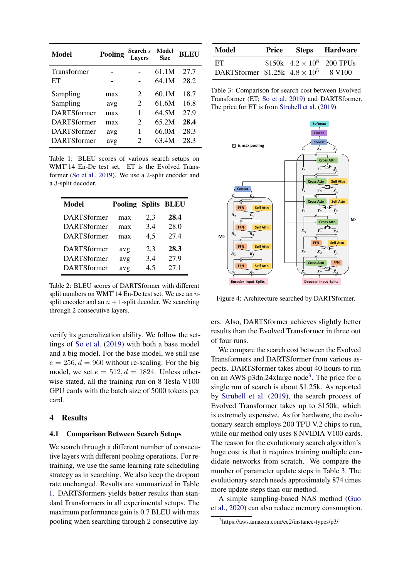<span id="page-5-0"></span>

| Model              | Pooling | Search $s$<br><b>Lavers</b> | Model<br><b>Size</b> | <b>BLEU</b> |
|--------------------|---------|-----------------------------|----------------------|-------------|
| <b>Transformer</b> |         |                             | 61.1M                | 27.7        |
| EТ                 |         |                             | 64.1M                | 28.2        |
| Sampling           | max     | 2                           | 60.1M                | 18.7        |
| Sampling           | avg     | 2                           | 61.6M                | 16.8        |
| <b>DARTSformer</b> | max     | 1                           | 64.5M                | 27.9        |
| <b>DARTSformer</b> | max     | 2                           | 65.2M                | 28.4        |
| <b>DARTSformer</b> | avg     | 1                           | 66.0M                | 28.3        |
| <b>DARTSformer</b> | avg     | $\mathfrak{D}$              | 63.4M                | 28.3        |

Table 1: BLEU scores of various search setups on WMT'14 En-De test set. ET is the Evolved Transformer [\(So et al.,](#page-10-1) [2019\)](#page-10-1). We use a 2-split encoder and a 3-split decoder.

<span id="page-5-3"></span>

| <b>Model</b>       | <b>Pooling Splits BLEU</b> |     |      |
|--------------------|----------------------------|-----|------|
| DARTSformer        | max                        | 2,3 | 28.4 |
| <b>DARTSformer</b> | max                        | 3,4 | 28.0 |
| <b>DARTSformer</b> | max                        | 4,5 | 27.4 |
| <b>DARTSformer</b> | avg                        | 2,3 | 28.3 |
| <b>DARTSformer</b> | avg                        | 3,4 | 27.9 |
| <b>DARTSformer</b> | avg                        | 4,5 | 27.1 |

Table 2: BLEU scores of DARTSformer with different split numbers on WMT'14 En-De test set. We use an  $n$ split encoder and an  $n + 1$ -split decoder. We searching through 2 consecutive layers.

verify its generalization ability. We follow the settings of [So et al.](#page-10-1) [\(2019\)](#page-10-1) with both a base model and a big model. For the base model, we still use  $e = 256, d = 960$  without re-scaling. For the big model, we set  $e = 512$ ,  $d = 1824$ . Unless otherwise stated, all the training run on 8 Tesla V100 GPU cards with the batch size of 5000 tokens per card.

#### 4 Results

### <span id="page-5-5"></span>4.1 Comparison Between Search Setups

We search through a different number of consecutive layers with different pooling operations. For retraining, we use the same learning rate scheduling strategy as in searching. We also keep the dropout rate unchanged. Results are summarized in Table [1.](#page-5-0) DARTSformers yields better results than standard Transformers in all experimental setups. The maximum performance gain is 0.7 BLEU with max pooling when searching through 2 consecutive lay-

<span id="page-5-2"></span>

| Model                                  | Price | <b>Steps Hardware</b>             |
|----------------------------------------|-------|-----------------------------------|
| ET                                     |       | \$150k $4.2 \times 10^8$ 200 TPUs |
| DARTSformer $$1.25k$ $4.8 \times 10^5$ |       | 8 V <sub>100</sub>                |

Table 3: Comparison for search cost between Evolved Transformer (ET; [So et al.](#page-10-1) [2019\)](#page-10-1) and DARTSformer. The price for ET is from [Strubell et al.](#page-10-7) [\(2019\)](#page-10-7).

<span id="page-5-4"></span>

Figure 4: Architecture searched by DARTSformer.

ers. Also, DARTSformer achieves slightly better results than the Evolved Transformer in three out of four runs.

We compare the search cost between the Evolved Transformers and DARTSformer from various aspects. DARTSformer takes about 40 hours to run on an AWS p[3](#page-5-1)dn.24xlarge node<sup>3</sup>. The price for a single run of search is about \$1.25k. As reported by [Strubell et al.](#page-10-7) [\(2019\)](#page-10-7), the search process of Evolved Transformer takes up to \$150k, which is extremely expensive. As for hardware, the evolutionary search employs 200 TPU V.2 chips to run, while our method only uses 8 NVIDIA V100 cards. The reason for the evolutionary search algorithm's huge cost is that it requires training multiple candidate networks from scratch. We compare the number of parameter update steps in Table [3.](#page-5-2) The evolutionary search needs approximately 874 times more update steps than our method.

A simple sampling-based NAS method [\(Guo](#page-9-9) [et al.,](#page-9-9) [2020\)](#page-9-9) can also reduce memory consumption.

<span id="page-5-1"></span><sup>3</sup> https://aws.amazon.com/ec2/instance-types/p3/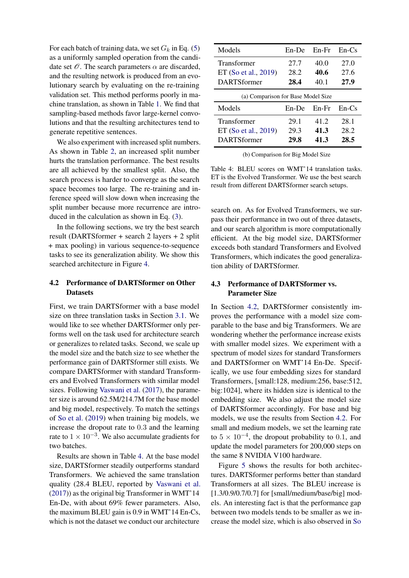For each batch of training data, we set  $G_k$  in Eq. [\(5\)](#page-3-4) as a uniformly sampled operation from the candidate set  $\mathcal O$ . The search parameters  $\alpha$  are discarded, and the resulting network is produced from an evolutionary search by evaluating on the re-training validation set. This method performs poorly in machine translation, as shown in Table [1.](#page-5-0) We find that sampling-based methods favor large-kernel convolutions and that the resulting architectures tend to generate repetitive sentences.

We also experiment with increased split numbers. As shown in Table [2,](#page-5-3) an increased split number hurts the translation performance. The best results are all achieved by the smallest split. Also, the search process is harder to converge as the search space becomes too large. The re-training and inference speed will slow down when increasing the split number because more recurrence are introduced in the calculation as shown in Eq. [\(3\)](#page-2-1).

In the following sections, we try the best search result (DARTSformer + search 2 layers + 2 split + max pooling) in various sequence-to-sequence tasks to see its generalization ability. We show this searched architecture in Figure [4.](#page-5-4)

# <span id="page-6-1"></span>4.2 Performance of DARTSformer on Other **Datasets**

First, we train DARTSformer with a base model size on three translation tasks in Section [3.1.](#page-4-2) We would like to see whether DARTSformer only performs well on the task used for architecture search or generalizes to related tasks. Second, we scale up the model size and the batch size to see whether the performance gain of DARTSformer still exists. We compare DARTSformer with standard Transformers and Evolved Transformers with similar model sizes. Following [Vaswani et al.](#page-10-4) [\(2017\)](#page-10-4), the parameter size is around 62.5M/214.7M for the base model and big model, respectively. To match the settings of [So et al.](#page-10-1) [\(2019\)](#page-10-1) when training big models, we increase the dropout rate to 0.3 and the learning rate to  $1 \times 10^{-3}$ . We also accumulate gradients for two batches.

Results are shown in Table [4.](#page-6-0) At the base model size, DARTSformer steadily outperforms standard Transformers. We achieved the same translation quality (28.4 BLEU, reported by [Vaswani et al.](#page-10-4) [\(2017\)](#page-10-4)) as the original big Transformer in WMT'14 En-De, with about 69% fewer parameters. Also, the maximum BLEU gain is 0.9 in WMT'14 En-Cs, which is not the dataset we conduct our architecture

<span id="page-6-0"></span>

| Models                             | $En$ -De | $En-Fr$ | $En-Cs$ |  |
|------------------------------------|----------|---------|---------|--|
| <b>Transformer</b>                 | 27.7     | 40.0    | 27.0    |  |
| ET (So et al., 2019)               | 28.2     | 40.6    | 27.6    |  |
| <b>DARTSformer</b>                 | 28.4     | 40.1    | 27.9    |  |
| (a) Comparison for Base Model Size |          |         |         |  |
| Models                             | $En$ -De | $En-Fr$ | $En-Cs$ |  |
| Transformer                        | 29.1     | 41.2    | 28.1    |  |
| ET (So et al., 2019)               | 29.3     | 41.3    | 28.2    |  |
| <b>DARTSformer</b>                 | 29.8     | 41.3    | 28.5    |  |

(b) Comparison for Big Model Size

Table 4: BLEU scores on WMT'14 translation tasks. ET is the Evolved Transformer. We use the best search result from different DARTSformer search setups.

search on. As for Evolved Transformers, we surpass their performance in two out of three datasets, and our search algorithm is more computationally efficient. At the big model size, DARTSformer exceeds both standard Transformers and Evolved Transformers, which indicates the good generalization ability of DARTSformer.

# 4.3 Performance of DARTSformer vs. Parameter Size

In Section [4.2,](#page-6-1) DARTSformer consistently improves the performance with a model size comparable to the base and big Transformers. We are wondering whether the performance increase exists with smaller model sizes. We experiment with a spectrum of model sizes for standard Transformers and DARTSformer on WMT'14 En-De. Specifically, we use four embedding sizes for standard Transformers, [small:128, medium:256, base:512, big:1024], where its hidden size is identical to the embedding size. We also adjust the model size of DARTSformer accordingly. For base and big models, we use the results from Section [4.2.](#page-6-1) For small and medium models, we set the learning rate to  $5 \times 10^{-4}$ , the dropout probability to 0.1, and update the model parameters for 200,000 steps on the same 8 NVIDIA V100 hardware.

Figure [5](#page-7-0) shows the results for both architectures. DARTSformer performs better than standard Transformers at all sizes. The BLEU increase is [1.3/0.9/0.7/0.7] for [small/medium/base/big] models. An interesting fact is that the performance gap between two models tends to be smaller as we increase the model size, which is also observed in [So](#page-10-1)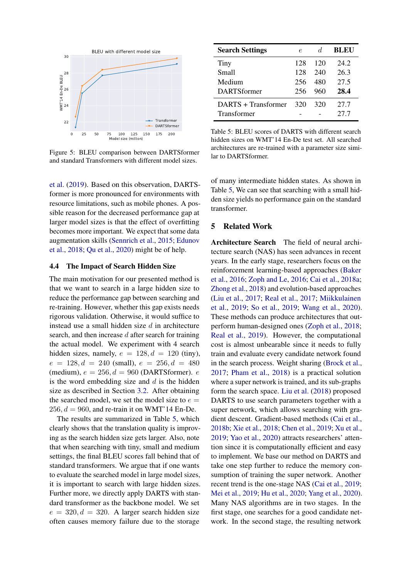<span id="page-7-0"></span>

Figure 5: BLEU comparison between DARTSformer and standard Transformers with different model sizes.

[et al.](#page-10-1) [\(2019\)](#page-10-1). Based on this observation, DARTSformer is more pronounced for environments with resource limitations, such as mobile phones. A possible reason for the decreased performance gap at larger model sizes is that the effect of overfitting becomes more important. We expect that some data augmentation skills [\(Sennrich et al.,](#page-10-8) [2015;](#page-10-8) [Edunov](#page-9-10) [et al.,](#page-9-10) [2018;](#page-9-10) [Qu et al.,](#page-9-11) [2020\)](#page-9-11) might be of help.

### 4.4 The Impact of Search Hidden Size

The main motivation for our presented method is that we want to search in a large hidden size to reduce the performance gap between searching and re-training. However, whether this gap exists needs rigorous validation. Otherwise, it would suffice to instead use a small hidden size  $d$  in architecture search, and then increase d after search for training the actual model. We experiment with 4 search hidden sizes, namely,  $e = 128, d = 120$  (tiny),  $e = 128, d = 240$  (small),  $e = 256, d = 480$ (medium),  $e = 256$ ,  $d = 960$  (DARTSformer).  $e$ is the word embedding size and  $d$  is the hidden size as described in Section [3.2.](#page-4-3) After obtaining the searched model, we set the model size to  $e =$  $256, d = 960$ , and re-train it on WMT'14 En-De.

The results are summarized in Table [5,](#page-7-1) which clearly shows that the translation quality is improving as the search hidden size gets larger. Also, note that when searching with tiny, small and medium settings, the final BLEU scores fall behind that of standard transformers. We argue that if one wants to evaluate the searched model in large model sizes, it is important to search with large hidden sizes. Further more, we directly apply DARTS with standard transformer as the backbone model. We set  $e = 320, d = 320$ . A larger search hidden size often causes memory failure due to the storage

<span id="page-7-1"></span>

| <b>Search Settings</b> | e.  | d.  | <b>BLEU</b> |
|------------------------|-----|-----|-------------|
| Tiny                   | 128 | 120 | 24.2        |
| Small                  | 128 | 240 | 26.3        |
| Medium                 | 256 | 480 | 27.5        |
| <b>DARTSformer</b>     | 256 | 960 | 28.4        |
| DARTS + Transformer    | 320 | 320 | 27.7        |
| Transformer            |     |     | 27.7        |

Table 5: BLEU scores of DARTS with different search hidden sizes on WMT'14 En-De test set. All searched architectures are re-trained with a parameter size similar to DARTSformer.

of many intermediate hidden states. As shown in Table [5,](#page-7-1) We can see that searching with a small hidden size yields no performance gain on the standard transformer.

# 5 Related Work

Architecture Search The field of neural architecture search (NAS) has seen advances in recent years. In the early stage, researchers focus on the reinforcement learning-based approaches [\(Baker](#page-8-2) [et al.,](#page-8-2) [2016;](#page-8-2) [Zoph and Le,](#page-10-9) [2016;](#page-10-9) [Cai et al.,](#page-8-3) [2018a;](#page-8-3) [Zhong et al.,](#page-10-10) [2018\)](#page-10-10) and evolution-based approaches [\(Liu et al.,](#page-9-12) [2017;](#page-9-12) [Real et al.,](#page-10-11) [2017;](#page-10-11) [Miikkulainen](#page-9-13) [et al.,](#page-9-13) [2019;](#page-9-13) [So et al.,](#page-10-1) [2019;](#page-10-1) [Wang et al.,](#page-10-2) [2020\)](#page-10-2). These methods can produce architectures that outperform human-designed ones [\(Zoph et al.,](#page-10-12) [2018;](#page-10-12) [Real et al.,](#page-10-0) [2019\)](#page-10-0). However, the computational cost is almost unbearable since it needs to fully train and evaluate every candidate network found in the search process. Weight sharing [\(Brock et al.,](#page-8-4) [2017;](#page-8-4) [Pham et al.,](#page-9-1) [2018\)](#page-9-1) is a practical solution where a super network is trained, and its sub-graphs form the search space. [Liu et al.](#page-9-2) [\(2018\)](#page-9-2) proposed DARTS to use search parameters together with a super network, which allows searching with gradient descent. Gradient-based methods [\(Cai et al.,](#page-8-5) [2018b;](#page-8-5) [Xie et al.,](#page-10-13) [2018;](#page-10-13) [Chen et al.,](#page-8-0) [2019;](#page-8-0) [Xu et al.,](#page-10-14) [2019;](#page-10-14) [Yao et al.,](#page-10-15) [2020\)](#page-10-15) attracts researchers' attention since it is computationally efficient and easy to implement. We base our method on DARTS and take one step further to reduce the memory consumption of training the super network. Another recent trend is the one-stage NAS [\(Cai et al.,](#page-8-6) [2019;](#page-8-6) [Mei et al.,](#page-9-14) [2019;](#page-9-14) [Hu et al.,](#page-9-15) [2020;](#page-9-15) [Yang et al.,](#page-10-3) [2020\)](#page-10-3). Many NAS algorithms are in two stages. In the first stage, one searches for a good candidate network. In the second stage, the resulting network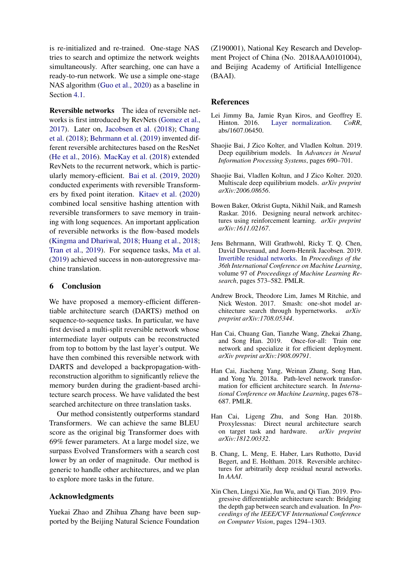is re-initialized and re-trained. One-stage NAS tries to search and optimize the network weights simultaneously. After searching, one can have a ready-to-run network. We use a simple one-stage NAS algorithm [\(Guo et al.,](#page-9-9) [2020\)](#page-9-9) as a baseline in Section [4.1.](#page-5-5)

Reversible networks The idea of reversible networks is first introduced by RevNets [\(Gomez et al.,](#page-9-4) [2017\)](#page-9-4). Later on, [Jacobsen et al.](#page-9-16) [\(2018\)](#page-9-16); [Chang](#page-8-7) [et al.](#page-8-7) [\(2018\)](#page-8-7); [Behrmann et al.](#page-8-8) [\(2019\)](#page-8-8) invented different reversible architectures based on the ResNet [\(He et al.,](#page-9-6) [2016\)](#page-9-6). [MacKay et al.](#page-9-17) [\(2018\)](#page-9-17) extended RevNets to the recurrent network, which is particularly memory-efficient. [Bai et al.](#page-8-9) [\(2019,](#page-8-9) [2020\)](#page-8-10) conducted experiments with reversible Transformers by fixed point iteration. [Kitaev et al.](#page-9-18) [\(2020\)](#page-9-18) combined local sensitive hashing attention with reversible transformers to save memory in training with long sequences. An important application of reversible networks is the flow-based models [\(Kingma and Dhariwal,](#page-9-19) [2018;](#page-9-19) [Huang et al.,](#page-9-20) [2018;](#page-9-20) [Tran et al.,](#page-10-16) [2019\)](#page-10-16). For sequence tasks, [Ma et al.](#page-9-21) [\(2019\)](#page-9-21) achieved success in non-autoregressive machine translation.

# 6 Conclusion

We have proposed a memory-efficient differentiable architecture search (DARTS) method on sequence-to-sequence tasks. In particular, we have first devised a multi-split reversible network whose intermediate layer outputs can be reconstructed from top to bottom by the last layer's output. We have then combined this reversible network with DARTS and developed a backpropagation-withreconstruction algorithm to significantly relieve the memory burden during the gradient-based architecture search process. We have validated the best searched architecture on three translation tasks.

Our method consistently outperforms standard Transformers. We can achieve the same BLEU score as the original big Transformer does with 69% fewer parameters. At a large model size, we surpass Evolved Transformers with a search cost lower by an order of magnitude. Our method is generic to handle other architectures, and we plan to explore more tasks in the future.

### Acknowledgments

Yuekai Zhao and Zhihua Zhang have been supported by the Beijing Natural Science Foundation

(Z190001), National Key Research and Development Project of China (No. 2018AAA0101004), and Beijing Academy of Artificial Intelligence (BAAI).

## **References**

- <span id="page-8-1"></span>Lei Jimmy Ba, Jamie Ryan Kiros, and Geoffrey E. Hinton. 2016. [Layer normalization.](http://arxiv.org/abs/1607.06450) *CoRR*, abs/1607.06450.
- <span id="page-8-9"></span>Shaojie Bai, J Zico Kolter, and Vladlen Koltun. 2019. Deep equilibrium models. In *Advances in Neural Information Processing Systems*, pages 690–701.
- <span id="page-8-10"></span>Shaojie Bai, Vladlen Koltun, and J Zico Kolter. 2020. Multiscale deep equilibrium models. *arXiv preprint arXiv:2006.08656*.
- <span id="page-8-2"></span>Bowen Baker, Otkrist Gupta, Nikhil Naik, and Ramesh Raskar. 2016. Designing neural network architectures using reinforcement learning. *arXiv preprint arXiv:1611.02167*.
- <span id="page-8-8"></span>Jens Behrmann, Will Grathwohl, Ricky T. Q. Chen, David Duvenaud, and Joern-Henrik Jacobsen. 2019. [Invertible residual networks.](http://proceedings.mlr.press/v97/behrmann19a.html) In *Proceedings of the 36th International Conference on Machine Learning*, volume 97 of *Proceedings of Machine Learning Research*, pages 573–582. PMLR.
- <span id="page-8-4"></span>Andrew Brock, Theodore Lim, James M Ritchie, and Nick Weston. 2017. Smash: one-shot model architecture search through hypernetworks. *arXiv preprint arXiv:1708.05344*.
- <span id="page-8-6"></span>Han Cai, Chuang Gan, Tianzhe Wang, Zhekai Zhang, and Song Han. 2019. Once-for-all: Train one network and specialize it for efficient deployment. *arXiv preprint arXiv:1908.09791*.
- <span id="page-8-3"></span>Han Cai, Jiacheng Yang, Weinan Zhang, Song Han, and Yong Yu. 2018a. Path-level network transformation for efficient architecture search. In *International Conference on Machine Learning*, pages 678– 687. PMLR.
- <span id="page-8-5"></span>Han Cai, Ligeng Zhu, and Song Han. 2018b. Proxylessnas: Direct neural architecture search on target task and hardware. *arXiv preprint arXiv:1812.00332*.
- <span id="page-8-7"></span>B. Chang, L. Meng, E. Haber, Lars Ruthotto, David Begert, and E. Holtham. 2018. Reversible architectures for arbitrarily deep residual neural networks. In *AAAI*.
- <span id="page-8-0"></span>Xin Chen, Lingxi Xie, Jun Wu, and Qi Tian. 2019. Progressive differentiable architecture search: Bridging the depth gap between search and evaluation. In *Proceedings of the IEEE/CVF International Conference on Computer Vision*, pages 1294–1303.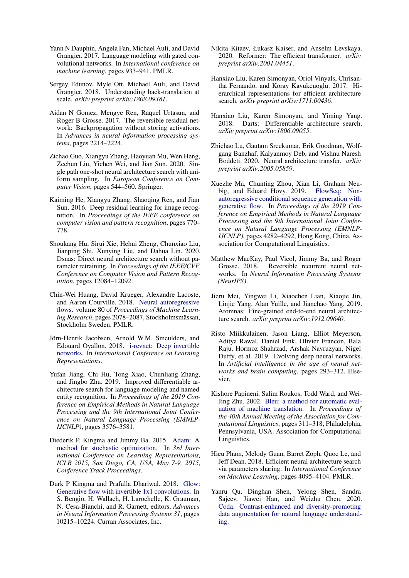- <span id="page-9-5"></span>Yann N Dauphin, Angela Fan, Michael Auli, and David Grangier. 2017. Language modeling with gated convolutional networks. In *International conference on machine learning*, pages 933–941. PMLR.
- <span id="page-9-10"></span>Sergey Edunov, Myle Ott, Michael Auli, and David Grangier. 2018. Understanding back-translation at scale. *arXiv preprint arXiv:1808.09381*.
- <span id="page-9-4"></span>Aidan N Gomez, Mengye Ren, Raquel Urtasun, and Roger B Grosse. 2017. The reversible residual network: Backpropagation without storing activations. In *Advances in neural information processing systems*, pages 2214–2224.
- <span id="page-9-9"></span>Zichao Guo, Xiangyu Zhang, Haoyuan Mu, Wen Heng, Zechun Liu, Yichen Wei, and Jian Sun. 2020. Single path one-shot neural architecture search with uniform sampling. In *European Conference on Computer Vision*, pages 544–560. Springer.
- <span id="page-9-6"></span>Kaiming He, Xiangyu Zhang, Shaoqing Ren, and Jian Sun. 2016. Deep residual learning for image recognition. In *Proceedings of the IEEE conference on computer vision and pattern recognition*, pages 770– 778.
- <span id="page-9-15"></span>Shoukang Hu, Sirui Xie, Hehui Zheng, Chunxiao Liu, Jianping Shi, Xunying Liu, and Dahua Lin. 2020. Dsnas: Direct neural architecture search without parameter retraining. In *Proceedings of the IEEE/CVF Conference on Computer Vision and Pattern Recognition*, pages 12084–12092.
- <span id="page-9-20"></span>Chin-Wei Huang, David Krueger, Alexandre Lacoste, and Aaron Courville. 2018. [Neural autoregressive](http://proceedings.mlr.press/v80/huang18d.html) [flows.](http://proceedings.mlr.press/v80/huang18d.html) volume 80 of *Proceedings of Machine Learning Research*, pages 2078–2087, Stockholmsmässan, Stockholm Sweden. PMLR.
- <span id="page-9-16"></span>Jörn-Henrik Jacobsen, Arnold W.M. Smeulders, and Edouard Oyallon. 2018. [i-revnet: Deep invertible](https://openreview.net/forum?id=HJsjkMb0Z) [networks.](https://openreview.net/forum?id=HJsjkMb0Z) In *International Conference on Learning Representations*.
- <span id="page-9-3"></span>Yufan Jiang, Chi Hu, Tong Xiao, Chunliang Zhang, and Jingbo Zhu. 2019. Improved differentiable architecture search for language modeling and named entity recognition. In *Proceedings of the 2019 Conference on Empirical Methods in Natural Language Processing and the 9th International Joint Conference on Natural Language Processing (EMNLP-IJCNLP)*, pages 3576–3581.
- <span id="page-9-8"></span>Diederik P. Kingma and Jimmy Ba. 2015. [Adam: A](http://arxiv.org/abs/1412.6980) [method for stochastic optimization.](http://arxiv.org/abs/1412.6980) In *3rd International Conference on Learning Representations, ICLR 2015, San Diego, CA, USA, May 7-9, 2015, Conference Track Proceedings*.
- <span id="page-9-19"></span>Durk P Kingma and Prafulla Dhariwal. 2018. [Glow:](http://papers.nips.cc/paper/8224-glow-generative-flow-with-invertible-1x1-convolutions.pdf) [Generative flow with invertible 1x1 convolutions.](http://papers.nips.cc/paper/8224-glow-generative-flow-with-invertible-1x1-convolutions.pdf) In S. Bengio, H. Wallach, H. Larochelle, K. Grauman, N. Cesa-Bianchi, and R. Garnett, editors, *Advances in Neural Information Processing Systems 31*, pages 10215–10224. Curran Associates, Inc.
- <span id="page-9-18"></span>Nikita Kitaev, Łukasz Kaiser, and Anselm Levskaya. 2020. Reformer: The efficient transformer. *arXiv preprint arXiv:2001.04451*.
- <span id="page-9-12"></span>Hanxiao Liu, Karen Simonyan, Oriol Vinyals, Chrisantha Fernando, and Koray Kavukcuoglu. 2017. Hierarchical representations for efficient architecture search. *arXiv preprint arXiv:1711.00436*.
- <span id="page-9-2"></span>Hanxiao Liu, Karen Simonyan, and Yiming Yang. 2018. Darts: Differentiable architecture search. *arXiv preprint arXiv:1806.09055*.
- <span id="page-9-0"></span>Zhichao Lu, Gautam Sreekumar, Erik Goodman, Wolfgang Banzhaf, Kalyanmoy Deb, and Vishnu Naresh Boddeti. 2020. Neural architecture transfer. *arXiv preprint arXiv:2005.05859*.
- <span id="page-9-21"></span>Xuezhe Ma, Chunting Zhou, Xian Li, Graham Neubig, and Eduard Hovy. 2019. [autoregressive conditional sequence generation with](https://doi.org/10.18653/v1/D19-1437) [generative flow.](https://doi.org/10.18653/v1/D19-1437) In *Proceedings of the 2019 Conference on Empirical Methods in Natural Language Processing and the 9th International Joint Conference on Natural Language Processing (EMNLP-IJCNLP)*, pages 4282–4292, Hong Kong, China. Association for Computational Linguistics.
- <span id="page-9-17"></span>Matthew MacKay, Paul Vicol, Jimmy Ba, and Roger Grosse. 2018. Reversible recurrent neural networks. In *Neural Information Processing Systems (NeurIPS)*.
- <span id="page-9-14"></span>Jieru Mei, Yingwei Li, Xiaochen Lian, Xiaojie Jin, Linjie Yang, Alan Yuille, and Jianchao Yang. 2019. Atomnas: Fine-grained end-to-end neural architecture search. *arXiv preprint arXiv:1912.09640*.
- <span id="page-9-13"></span>Risto Miikkulainen, Jason Liang, Elliot Meyerson, Aditya Rawal, Daniel Fink, Olivier Francon, Bala Raju, Hormoz Shahrzad, Arshak Navruzyan, Nigel Duffy, et al. 2019. Evolving deep neural networks. In *Artificial intelligence in the age of neural networks and brain computing*, pages 293–312. Elsevier.
- <span id="page-9-7"></span>Kishore Papineni, Salim Roukos, Todd Ward, and Wei-Jing Zhu. 2002. [Bleu: a method for automatic eval](https://doi.org/10.3115/1073083.1073135)[uation of machine translation.](https://doi.org/10.3115/1073083.1073135) In *Proceedings of the 40th Annual Meeting of the Association for Computational Linguistics*, pages 311–318, Philadelphia, Pennsylvania, USA. Association for Computational Linguistics.
- <span id="page-9-1"></span>Hieu Pham, Melody Guan, Barret Zoph, Quoc Le, and Jeff Dean. 2018. Efficient neural architecture search via parameters sharing. In *International Conference on Machine Learning*, pages 4095–4104. PMLR.
- <span id="page-9-11"></span>Yanru Qu, Dinghan Shen, Yelong Shen, Sandra Sajeev, Jiawei Han, and Weizhu Chen. 2020. [Coda: Contrast-enhanced and diversity-promoting](http://arxiv.org/abs/2010.08670) [data augmentation for natural language understand](http://arxiv.org/abs/2010.08670)[ing.](http://arxiv.org/abs/2010.08670)